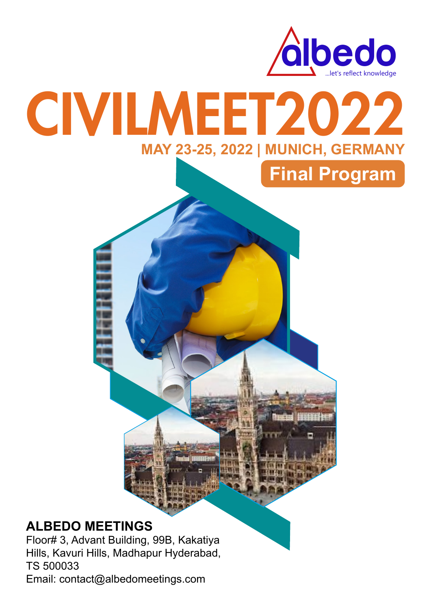

**Final Program**

# CIVILMEET2022 **MAY 23-25, 2022 | MUNICH, GERMANY**

### **ALBEDO MEETINGS**

Floor# 3, Advant Building, 99B, Kakatiya Hills, Kavuri Hills, Madhapur Hyderabad, TS 500033 Email: contact@albedomeetings.com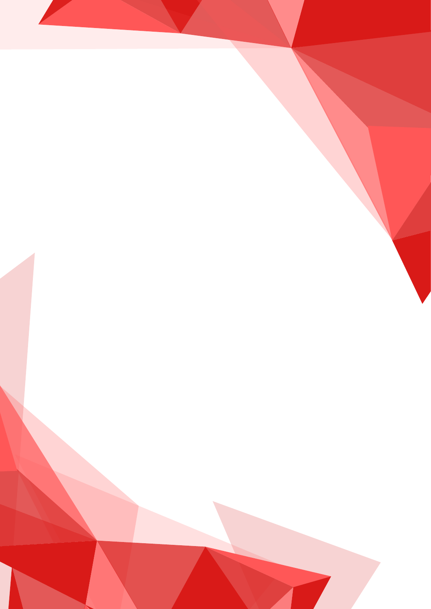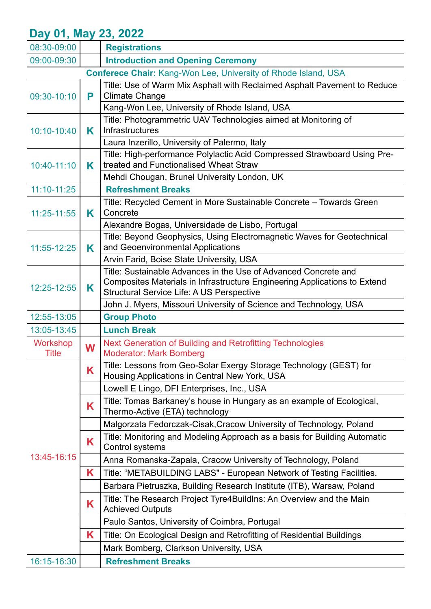#### **Day 01, May 23, 2022** 08:30-09:00 **Registrations** 09:00-09:30 **Introduction and Opening Ceremony Conferece Chair:** Kang-Won Lee, University of Rhode Island, USA 09:30-10:10 **P** Title: Use of Warm Mix Asphalt with Reclaimed Asphalt Pavement to Reduce Climate Change Kang-Won Lee, University of Rhode Island, USA 10:10-10:40 **K** Title: Photogrammetric UAV Technologies aimed at Monitoring of **Infrastructures** Laura Inzerillo, University of Palermo, Italy 10:40-11:10 **K** Title: High-performance Polylactic Acid Compressed Strawboard Using Pretreated and Functionalised Wheat Straw Mehdi Chougan, Brunel University London, UK 11:10-11:25 **Refreshment Breaks** 11:25-11:55 **K** Title: Recycled Cement in More Sustainable Concrete – Towards Green **Concrete** Alexandre Bogas, Universidade de Lisbo, Portugal 11:55-12:25 **K** Title: Beyond Geophysics, Using Electromagnetic Waves for Geotechnical and Geoenvironmental Applications Arvin Farid, Boise State University, USA 12:25-12:55 **K** Title: Sustainable Advances in the Use of Advanced Concrete and Composites Materials in Infrastructure Engineering Applications to Extend Structural Service Life: A US Perspective John J. Myers, Missouri University of Science and Technology, USA 12:55-13:05 **Group Photo** 13:05-13:45 **Lunch Break Workshop** prkshop **W** Next Generation of Building and Retrofitting Technologies<br>Title **W** Moderator: Mark Bomberg Moderator: Mark Bomberg 13:45-16:15 **K** Title: Lessons from Geo-Solar Exergy Storage Technology (GEST) for Housing Applications in Central New York, USA Lowell E Lingo, DFI Enterprises, Inc., USA **K** Title: Tomas Barkaney's house in Hungary as an example of Ecological, Thermo-Active (ETA) technology Malgorzata Fedorczak-Cisak,Cracow University of Technology, Poland **K** Title: Monitoring and Modeling Approach as a basis for Building Automatic Control systems Anna Romanska-Zapala, Cracow University of Technology, Poland K Title: "METABUILDING LABS" - European Network of Testing Facilities. Barbara Pietruszka, Building Research Institute (ITB), Warsaw, Poland **K** Title: The Research Project Tyre4BuildIns: An Overview and the Main Achieved Outputs Paulo Santos, University of Coimbra, Portugal K Title: On Ecological Design and Retrofitting of Residential Buildings Mark Bomberg, Clarkson University, USA 16:15-16:30 **Refreshment Breaks**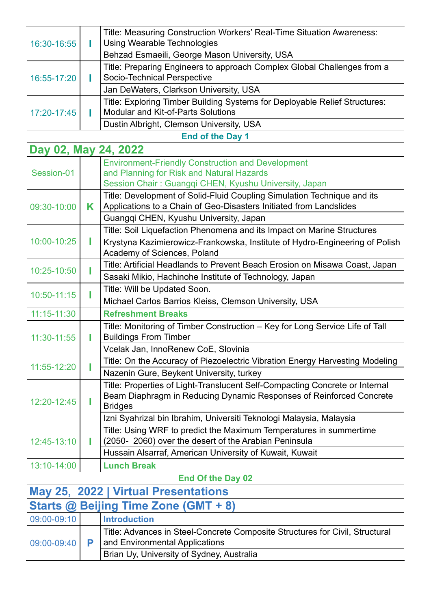| 16:30-16:55 |  | Title: Measuring Construction Workers' Real-Time Situation Awareness:<br><b>Using Wearable Technologies</b>             |
|-------------|--|-------------------------------------------------------------------------------------------------------------------------|
|             |  | Behzad Esmaeili, George Mason University, USA                                                                           |
| 16:55-17:20 |  | Title: Preparing Engineers to approach Complex Global Challenges from a<br>Socio-Technical Perspective                  |
|             |  | Jan DeWaters, Clarkson University, USA                                                                                  |
| 17:20-17:45 |  | Title: Exploring Timber Building Systems for Deployable Relief Structures:<br><b>Modular and Kit-of-Parts Solutions</b> |
|             |  | Dustin Albright, Clemson University, USA                                                                                |

**End of the Day 1**

| Day 02, May 24, 2022 |   |                                                                              |  |
|----------------------|---|------------------------------------------------------------------------------|--|
|                      |   | <b>Environment-Friendly Construction and Development</b>                     |  |
| Session-01           |   | and Planning for Risk and Natural Hazards                                    |  |
|                      |   | Session Chair: Guangqi CHEN, Kyushu University, Japan                        |  |
|                      |   | Title: Development of Solid-Fluid Coupling Simulation Technique and its      |  |
| 09:30-10:00          | K | Applications to a Chain of Geo-Disasters Initiated from Landslides           |  |
|                      |   | Guangqi CHEN, Kyushu University, Japan                                       |  |
|                      |   | Title: Soil Liquefaction Phenomena and its Impact on Marine Structures       |  |
| 10:00-10:25          | ш | Krystyna Kazimierowicz-Frankowska, Institute of Hydro-Engineering of Polish  |  |
|                      |   | Academy of Sciences, Poland                                                  |  |
| 10:25-10:50          |   | Title: Artificial Headlands to Prevent Beach Erosion on Misawa Coast, Japan  |  |
|                      |   | Sasaki Mikio, Hachinohe Institute of Technology, Japan                       |  |
| 10:50-11:15          | ı | Title: Will be Updated Soon.                                                 |  |
|                      |   | Michael Carlos Barrios Kleiss, Clemson University, USA                       |  |
| $11:15 - 11:30$      |   | <b>Refreshment Breaks</b>                                                    |  |
|                      |   | Title: Monitoring of Timber Construction - Key for Long Service Life of Tall |  |
| 11:30-11:55          | ı | <b>Buildings From Timber</b>                                                 |  |
|                      |   | Vcelak Jan, InnoRenew CoE, Slovinia                                          |  |
| 11:55-12:20          |   | Title: On the Accuracy of Piezoelectric Vibration Energy Harvesting Modeling |  |
|                      |   | Nazenin Gure, Beykent University, turkey                                     |  |
|                      |   | Title: Properties of Light-Translucent Self-Compacting Concrete or Internal  |  |
| 12:20-12:45          | I | Beam Diaphragm in Reducing Dynamic Responses of Reinforced Concrete          |  |
|                      |   | <b>Bridges</b>                                                               |  |
|                      |   | Izni Syahrizal bin Ibrahim, Universiti Teknologi Malaysia, Malaysia          |  |
| 12:45-13:10          | ı | Title: Using WRF to predict the Maximum Temperatures in summertime           |  |
|                      |   | (2050- 2060) over the desert of the Arabian Peninsula                        |  |
|                      |   | Hussain Alsarraf, American University of Kuwait, Kuwait                      |  |
| 13:10-14:00          |   | <b>Lunch Break</b>                                                           |  |

### **End Of the Day 02**

| May 25, 2022   Virtual Presentations |  |                                                                                                                |  |  |  |
|--------------------------------------|--|----------------------------------------------------------------------------------------------------------------|--|--|--|
| Starts @ Beijing Time Zone (GMT + 8) |  |                                                                                                                |  |  |  |
| 09:00-09:10                          |  | <b>Introduction</b>                                                                                            |  |  |  |
| 09:00-09:40                          |  | Title: Advances in Steel-Concrete Composite Structures for Civil, Structural<br>and Environmental Applications |  |  |  |
|                                      |  | Brian Uy, University of Sydney, Australia                                                                      |  |  |  |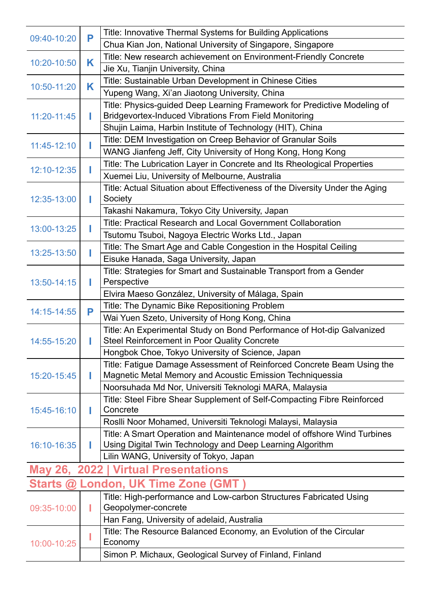| 09:40-10:20 | P | Title: Innovative Thermal Systems for Building Applications                                         |
|-------------|---|-----------------------------------------------------------------------------------------------------|
|             |   | Chua Kian Jon, National University of Singapore, Singapore                                          |
| 10:20-10:50 | K | Title: New research achievement on Environment-Friendly Concrete                                    |
|             |   | Jie Xu, Tianjin University, China                                                                   |
| 10:50-11:20 | K | Title: Sustainable Urban Development in Chinese Cities                                              |
|             |   | Yupeng Wang, Xi'an Jiaotong University, China                                                       |
|             |   | Title: Physics-guided Deep Learning Framework for Predictive Modeling of                            |
| 11:20-11:45 | ı | <b>Bridgevortex-Induced Vibrations From Field Monitoring</b>                                        |
|             |   | Shujin Laima, Harbin Institute of Technology (HIT), China                                           |
| 11:45-12:10 |   | Title: DEM Investigation on Creep Behavior of Granular Soils                                        |
|             |   | WANG Jianfeng Jeff, City University of Hong Kong, Hong Kong                                         |
| 12:10-12:35 |   | Title: The Lubrication Layer in Concrete and Its Rheological Properties                             |
|             |   | Xuemei Liu, University of Melbourne, Australia                                                      |
|             |   | Title: Actual Situation about Effectiveness of the Diversity Under the Aging                        |
| 12:35-13:00 | I | Society                                                                                             |
|             |   | Takashi Nakamura, Tokyo City University, Japan                                                      |
| 13:00-13:25 |   | Title: Practical Research and Local Government Collaboration                                        |
|             |   | Tsutomu Tsuboi, Nagoya Electric Works Ltd., Japan                                                   |
| 13:25-13:50 | I | Title: The Smart Age and Cable Congestion in the Hospital Ceiling                                   |
|             |   | Eisuke Hanada, Saga University, Japan                                                               |
|             |   | Title: Strategies for Smart and Sustainable Transport from a Gender<br>Perspective                  |
| 13:50-14:15 | I |                                                                                                     |
|             |   | Elvira Maeso González, University of Málaga, Spain<br>Title: The Dynamic Bike Repositioning Problem |
| 14:15-14:55 | P | Wai Yuen Szeto, University of Hong Kong, China                                                      |
|             |   | Title: An Experimental Study on Bond Performance of Hot-dip Galvanized                              |
| 14:55-15:20 |   | Steel Reinforcement in Poor Quality Concrete                                                        |
|             |   | Hongbok Choe, Tokyo University of Science, Japan                                                    |
|             |   | Title: Fatigue Damage Assessment of Reinforced Concrete Beam Using the                              |
| 15:20-15:45 |   | Magnetic Metal Memory and Acoustic Emission Techniquessia                                           |
|             |   | Noorsuhada Md Nor, Universiti Teknologi MARA, Malaysia                                              |
|             |   | Title: Steel Fibre Shear Supplement of Self-Compacting Fibre Reinforced                             |
| 15:45-16:10 |   | Concrete                                                                                            |
|             |   | Roslli Noor Mohamed, Universiti Teknologi Malaysi, Malaysia                                         |
|             | I | Title: A Smart Operation and Maintenance model of offshore Wind Turbines                            |
| 16:10-16:35 |   | Using Digital Twin Technology and Deep Learning Algorithm                                           |
|             |   | Lilin WANG, University of Tokyo, Japan                                                              |
|             |   | May 26, 2022   Virtual Presentations                                                                |
|             |   | Starts @ London, UK Time Zone (GMT)                                                                 |
| 09:35-10:00 | ı | Title: High-performance and Low-carbon Structures Fabricated Using                                  |
|             |   | Geopolymer-concrete                                                                                 |
|             |   | Han Fang, University of adelaid, Australia                                                          |
| 10:00-10:25 |   | Title: The Resource Balanced Economy, an Evolution of the Circular                                  |
|             |   | Economy                                                                                             |
|             |   | Simon P. Michaux, Geological Survey of Finland, Finland                                             |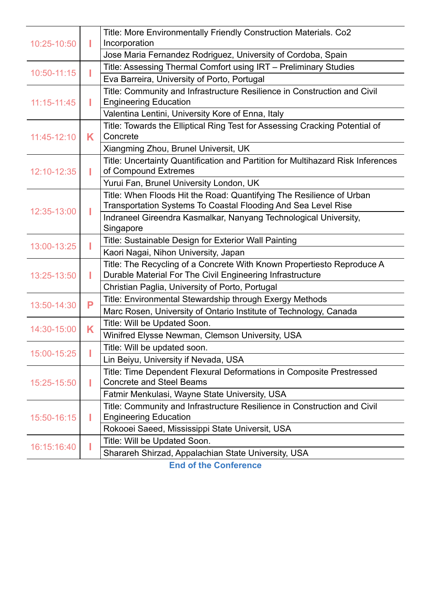| 10:25-10:50     |   | Title: More Environmentally Friendly Construction Materials. Co2                                                                    |
|-----------------|---|-------------------------------------------------------------------------------------------------------------------------------------|
|                 |   | Incorporation<br>Jose Maria Fernandez Rodriguez, University of Cordoba, Spain                                                       |
|                 |   | Title: Assessing Thermal Comfort using IRT - Preliminary Studies                                                                    |
| 10:50-11:15     |   | Eva Barreira, University of Porto, Portugal                                                                                         |
|                 |   | Title: Community and Infrastructure Resilience in Construction and Civil                                                            |
| $11:15 - 11:45$ |   | <b>Engineering Education</b>                                                                                                        |
|                 |   | Valentina Lentini, University Kore of Enna, Italy                                                                                   |
|                 | K | Title: Towards the Elliptical Ring Test for Assessing Cracking Potential of                                                         |
| 11:45-12:10     |   | Concrete                                                                                                                            |
|                 |   | Xiangming Zhou, Brunel Universit, UK                                                                                                |
|                 |   | Title: Uncertainty Quantification and Partition for Multihazard Risk Inferences                                                     |
| 12:10-12:35     |   | of Compound Extremes                                                                                                                |
|                 |   | Yurui Fan, Brunel University London, UK                                                                                             |
|                 |   | Title: When Floods Hit the Road: Quantifying The Resilience of Urban                                                                |
| 12:35-13:00     |   | Transportation Systems To Coastal Flooding And Sea Level Rise                                                                       |
|                 |   | Indraneel Gireendra Kasmalkar, Nanyang Technological University,                                                                    |
|                 |   | Singapore                                                                                                                           |
| 13:00-13:25     |   | Title: Sustainable Design for Exterior Wall Painting                                                                                |
|                 |   | Kaori Nagai, Nihon University, Japan                                                                                                |
| 13:25-13:50     | ٠ | Title: The Recycling of a Concrete With Known Propertiesto Reproduce A<br>Durable Material For The Civil Engineering Infrastructure |
|                 |   | Christian Paglia, University of Porto, Portugal                                                                                     |
|                 |   | Title: Environmental Stewardship through Exergy Methods                                                                             |
| 13:50-14:30     | P | Marc Rosen, University of Ontario Institute of Technology, Canada                                                                   |
|                 | K | Title: Will be Updated Soon.                                                                                                        |
| 14:30-15:00     |   | Winifred Elysse Newman, Clemson University, USA                                                                                     |
|                 |   | Title: Will be updated soon.                                                                                                        |
| 15:00-15:25     |   | Lin Beiyu, University if Nevada, USA                                                                                                |
|                 |   | Title: Time Dependent Flexural Deformations in Composite Prestressed                                                                |
| 15:25-15:50     |   | <b>Concrete and Steel Beams</b>                                                                                                     |
|                 |   | Fatmir Menkulasi, Wayne State University, USA                                                                                       |
| 15:50-16:15     |   | Title: Community and Infrastructure Resilience in Construction and Civil                                                            |
|                 |   | <b>Engineering Education</b>                                                                                                        |
|                 |   | Rokooei Saeed, Mississippi State Universit, USA                                                                                     |
| 16:15:16:40     |   | Title: Will be Updated Soon.                                                                                                        |
|                 |   | Sharareh Shirzad, Appalachian State University, USA                                                                                 |

**End of the Conference**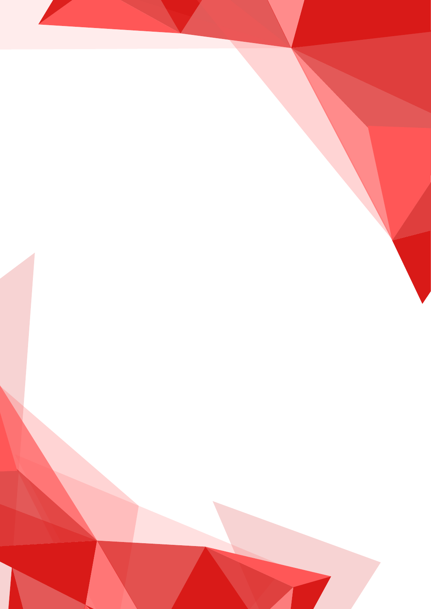